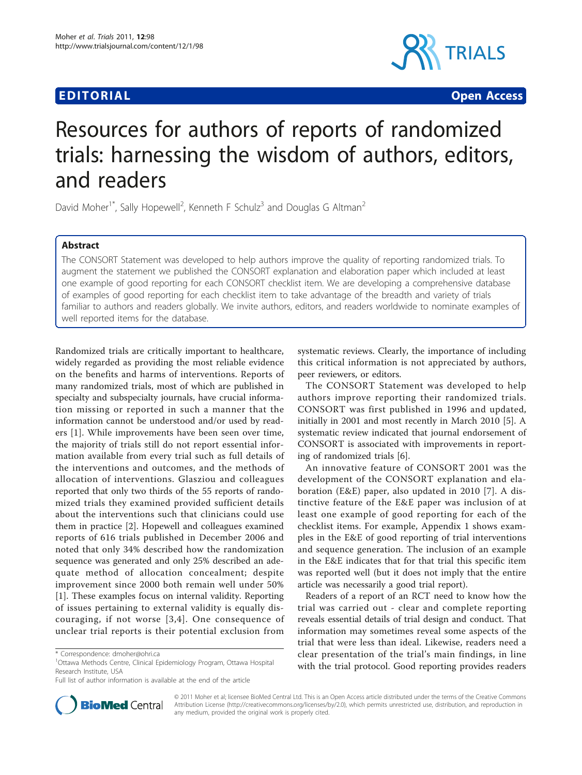# **EDITORIAL CONSTRUCTION CONSTRUCTION CONSTRUCTS**



# Resources for authors of reports of randomized trials: harnessing the wisdom of authors, editors, and readers

David Moher<sup>1\*</sup>, Sally Hopewell<sup>2</sup>, Kenneth F Schulz<sup>3</sup> and Douglas G Altman<sup>2</sup>

# Abstract

The CONSORT Statement was developed to help authors improve the quality of reporting randomized trials. To augment the statement we published the CONSORT explanation and elaboration paper which included at least one example of good reporting for each CONSORT checklist item. We are developing a comprehensive database of examples of good reporting for each checklist item to take advantage of the breadth and variety of trials familiar to authors and readers globally. We invite authors, editors, and readers worldwide to nominate examples of well reported items for the database.

Randomized trials are critically important to healthcare, widely regarded as providing the most reliable evidence on the benefits and harms of interventions. Reports of many randomized trials, most of which are published in specialty and subspecialty journals, have crucial information missing or reported in such a manner that the information cannot be understood and/or used by readers [[1\]](#page-1-0). While improvements have been seen over time, the majority of trials still do not report essential information available from every trial such as full details of the interventions and outcomes, and the methods of allocation of interventions. Glasziou and colleagues reported that only two thirds of the 55 reports of randomized trials they examined provided sufficient details about the interventions such that clinicians could use them in practice [[2](#page-1-0)]. Hopewell and colleagues examined reports of 616 trials published in December 2006 and noted that only 34% described how the randomization sequence was generated and only 25% described an adequate method of allocation concealment; despite improvement since 2000 both remain well under 50% [[1\]](#page-1-0). These examples focus on internal validity. Reporting of issues pertaining to external validity is equally discouraging, if not worse [[3](#page-1-0),[4](#page-1-0)]. One consequence of unclear trial reports is their potential exclusion from



The CONSORT Statement was developed to help authors improve reporting their randomized trials. CONSORT was first published in 1996 and updated, initially in 2001 and most recently in March 2010 [\[5\]](#page-1-0). A systematic review indicated that journal endorsement of CONSORT is associated with improvements in reporting of randomized trials [[6\]](#page-1-0).

An innovative feature of CONSORT 2001 was the development of the CONSORT explanation and elaboration (E&E) paper, also updated in 2010 [\[7](#page-1-0)]. A distinctive feature of the E&E paper was inclusion of at least one example of good reporting for each of the checklist items. For example, Appendix 1 shows examples in the E&E of good reporting of trial interventions and sequence generation. The inclusion of an example in the E&E indicates that for that trial this specific item was reported well (but it does not imply that the entire article was necessarily a good trial report).

Readers of a report of an RCT need to know how the trial was carried out - clear and complete reporting reveals essential details of trial design and conduct. That information may sometimes reveal some aspects of the trial that were less than ideal. Likewise, readers need a clear presentation of the trial's main findings, in line with the trial protocol. Good reporting provides readers



© 2011 Moher et al; licensee BioMed Central Ltd. This is an Open Access article distributed under the terms of the Creative Commons Attribution License [\(http://creativecommons.org/licenses/by/2.0](http://creativecommons.org/licenses/by/2.0)), which permits unrestricted use, distribution, and reproduction in any medium, provided the original work is properly cited.

<sup>\*</sup> Correspondence: [dmoher@ohri.ca](mailto:dmoher@ohri.ca)

<sup>1</sup> Ottawa Methods Centre, Clinical Epidemiology Program, Ottawa Hospital Research Institute, USA

Full list of author information is available at the end of the article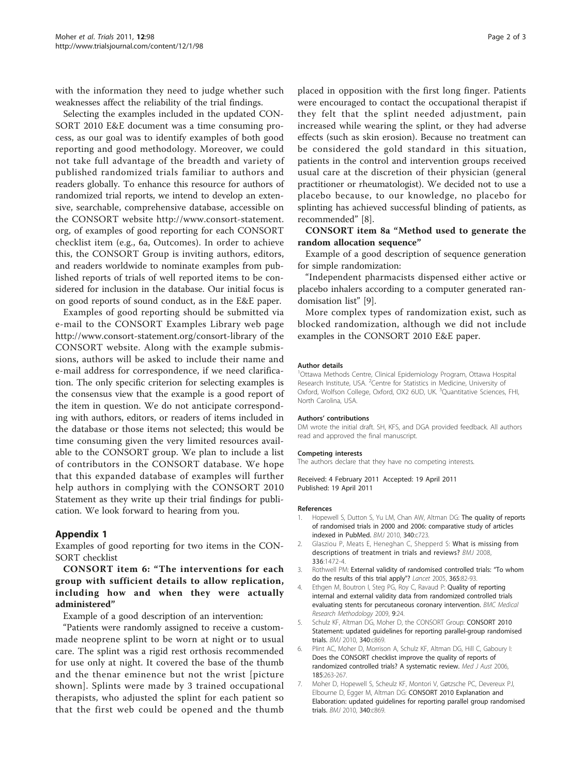<span id="page-1-0"></span>with the information they need to judge whether such weaknesses affect the reliability of the trial findings.

Selecting the examples included in the updated CON-SORT 2010 E&E document was a time consuming process, as our goal was to identify examples of both good reporting and good methodology. Moreover, we could not take full advantage of the breadth and variety of published randomized trials familiar to authors and readers globally. To enhance this resource for authors of randomized trial reports, we intend to develop an extensive, searchable, comprehensive database, accessible on the CONSORT website [http://www.consort-statement.](http://www.consort-statement.org) [org](http://www.consort-statement.org), of examples of good reporting for each CONSORT checklist item (e.g., 6a, Outcomes). In order to achieve this, the CONSORT Group is inviting authors, editors, and readers worldwide to nominate examples from published reports of trials of well reported items to be considered for inclusion in the database. Our initial focus is on good reports of sound conduct, as in the E&E paper.

Examples of good reporting should be submitted via e-mail to the CONSORT Examples Library web page <http://www.consort-statement.org/consort-library> of the CONSORT website. Along with the example submissions, authors will be asked to include their name and e-mail address for correspondence, if we need clarification. The only specific criterion for selecting examples is the consensus view that the example is a good report of the item in question. We do not anticipate corresponding with authors, editors, or readers of items included in the database or those items not selected; this would be time consuming given the very limited resources available to the CONSORT group. We plan to include a list of contributors in the CONSORT database. We hope that this expanded database of examples will further help authors in complying with the CONSORT 2010 Statement as they write up their trial findings for publication. We look forward to hearing from you.

### Appendix 1

Examples of good reporting for two items in the CON-SORT checklist

# CONSORT item 6: "The interventions for each group with sufficient details to allow replication, including how and when they were actually administered"

Example of a good description of an intervention:

"Patients were randomly assigned to receive a custommade neoprene splint to be worn at night or to usual care. The splint was a rigid rest orthosis recommended for use only at night. It covered the base of the thumb and the thenar eminence but not the wrist [picture shown]. Splints were made by 3 trained occupational therapists, who adjusted the splint for each patient so that the first web could be opened and the thumb

placed in opposition with the first long finger. Patients were encouraged to contact the occupational therapist if they felt that the splint needed adjustment, pain increased while wearing the splint, or they had adverse effects (such as skin erosion). Because no treatment can be considered the gold standard in this situation, patients in the control and intervention groups received usual care at the discretion of their physician (general practitioner or rheumatologist). We decided not to use a placebo because, to our knowledge, no placebo for splinting has achieved successful blinding of patients, as recommended" [[8\]](#page-2-0).

# CONSORT item 8a "Method used to generate the random allocation sequence"

Example of a good description of sequence generation for simple randomization:

"Independent pharmacists dispensed either active or placebo inhalers according to a computer generated randomisation list" [\[9](#page-2-0)].

More complex types of randomization exist, such as blocked randomization, although we did not include examples in the CONSORT 2010 E&E paper.

#### Author details

1 Ottawa Methods Centre, Clinical Epidemiology Program, Ottawa Hospital Research Institute, USA. <sup>2</sup> Centre for Statistics in Medicine, University of Oxford, Wolfson College, Oxford, OX2 6UD, UK. <sup>3</sup>Quantitative Sciences, FHI North Carolina, USA.

#### Authors' contributions

DM wrote the initial draft. SH, KFS, and DGA provided feedback. All authors read and approved the final manuscript.

#### Competing interests

The authors declare that they have no competing interests.

Received: 4 February 2011 Accepted: 19 April 2011 Published: 19 April 2011

#### References

- 1. Hopewell S, Dutton S, Yu LM, Chan AW, Altman DG: [The quality of reports](http://www.ncbi.nlm.nih.gov/pubmed/20332510?dopt=Abstract) [of randomised trials in 2000 and 2006: comparative study of articles](http://www.ncbi.nlm.nih.gov/pubmed/20332510?dopt=Abstract) [indexed in PubMed.](http://www.ncbi.nlm.nih.gov/pubmed/20332510?dopt=Abstract) BMJ 2010, 340:c723.
- 2. Glasziou P, Meats E, Heneghan C, Shepperd S: [What is missing from](http://www.ncbi.nlm.nih.gov/pubmed/18583680?dopt=Abstract) [descriptions of treatment in trials and reviews?](http://www.ncbi.nlm.nih.gov/pubmed/18583680?dopt=Abstract) BMJ 2008, 336:1472-4.
- 3. Rothwell PM: [External validity of randomised controlled trials:](http://www.ncbi.nlm.nih.gov/pubmed/15639683?dopt=Abstract) "To whom [do the results of this trial apply"?](http://www.ncbi.nlm.nih.gov/pubmed/15639683?dopt=Abstract) Lancet 2005, 365:82-93.
- 4. Ethgen M, Boutron I, Steg PG, Roy C, Ravaud P: [Quality of reporting](http://www.ncbi.nlm.nih.gov/pubmed/19358717?dopt=Abstract) [internal and external validity data from randomized controlled trials](http://www.ncbi.nlm.nih.gov/pubmed/19358717?dopt=Abstract) [evaluating stents for percutaneous coronary intervention.](http://www.ncbi.nlm.nih.gov/pubmed/19358717?dopt=Abstract) BMC Medical Research Methodology 2009, 9:24.
- Schulz KF, Altman DG, Moher D, the CONSORT Group: [CONSORT 2010](http://www.ncbi.nlm.nih.gov/pubmed/20332511?dopt=Abstract) [Statement: updated guidelines for reporting parallel-group randomised](http://www.ncbi.nlm.nih.gov/pubmed/20332511?dopt=Abstract) [trials.](http://www.ncbi.nlm.nih.gov/pubmed/20332511?dopt=Abstract) BMJ 2010, 340:c869.
- 6. Plint AC, Moher D, Morrison A, Schulz KF, Altman DG, Hill C, Gaboury I: [Does the CONSORT checklist improve the quality of reports of](http://www.ncbi.nlm.nih.gov/pubmed/16948622?dopt=Abstract) [randomized controlled trials? A systematic review.](http://www.ncbi.nlm.nih.gov/pubmed/16948622?dopt=Abstract) Med J Aust 2006, 185:263-267.
- 7. Moher D, Hopewell S, Scheulz KF, Montori V, Gøtzsche PC, Devereux PJ, Elbourne D, Egger M, Altman DG: [CONSORT 2010 Explanation and](http://www.ncbi.nlm.nih.gov/pubmed/20332511?dopt=Abstract) [Elaboration: updated guidelines for reporting parallel group randomised](http://www.ncbi.nlm.nih.gov/pubmed/20332511?dopt=Abstract) [trials.](http://www.ncbi.nlm.nih.gov/pubmed/20332511?dopt=Abstract) BMJ 2010, 340:c869.